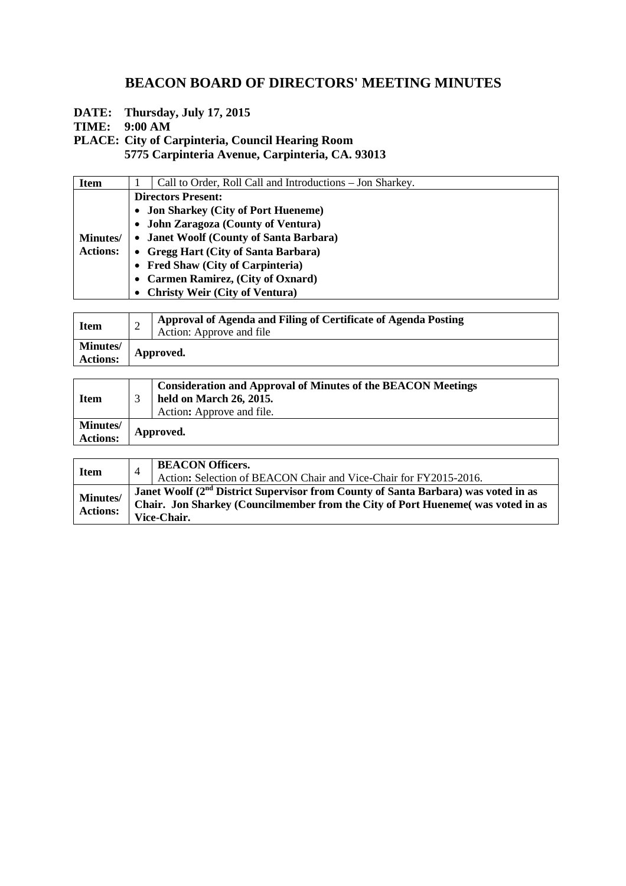- **DATE: Thursday, July 17, 2015**
- **TIME: 9:00 AM**

**PLACE: City of Carpinteria, Council Hearing Room**

| Call to Order, Roll Call and Introductions – Jon Sharkey. |
|-----------------------------------------------------------|
| <b>Directors Present:</b>                                 |
| • Jon Sharkey (City of Port Hueneme)                      |
| • John Zaragoza (County of Ventura)                       |
| • Janet Woolf (County of Santa Barbara)                   |
| • Gregg Hart (City of Santa Barbara)                      |
| • Fred Shaw (City of Carpinteria)                         |
| • Carmen Ramirez, (City of Oxnard)                        |
| <b>Christy Weir (City of Ventura)</b>                     |
|                                                           |

| <b>Item</b>                        | ↵ | Approval of Agenda and Filing of Certificate of Agenda Posting<br>Action: Approve and file |
|------------------------------------|---|--------------------------------------------------------------------------------------------|
| <b>Minutes/</b><br><b>Actions:</b> |   | Approved.                                                                                  |

| <b>Item</b>                        | <b>Consideration and Approval of Minutes of the BEACON Meetings</b><br>held on March 26, 2015.<br>Action: Approve and file. |
|------------------------------------|-----------------------------------------------------------------------------------------------------------------------------|
| <b>Minutes/</b><br><b>Actions:</b> | Approved.                                                                                                                   |
|                                    |                                                                                                                             |

| <b>Item</b>                 | <b>BEACON Officers.</b><br>Action: Selection of BEACON Chair and Vice-Chair for FY2015-2016.                                                                                                     |  |
|-----------------------------|--------------------------------------------------------------------------------------------------------------------------------------------------------------------------------------------------|--|
| Minutes/<br><b>Actions:</b> | Janet Woolf (2 <sup>nd</sup> District Supervisor from County of Santa Barbara) was voted in as<br>Chair. Jon Sharkey (Councilmember from the City of Port Hueneme was voted in as<br>Vice-Chair. |  |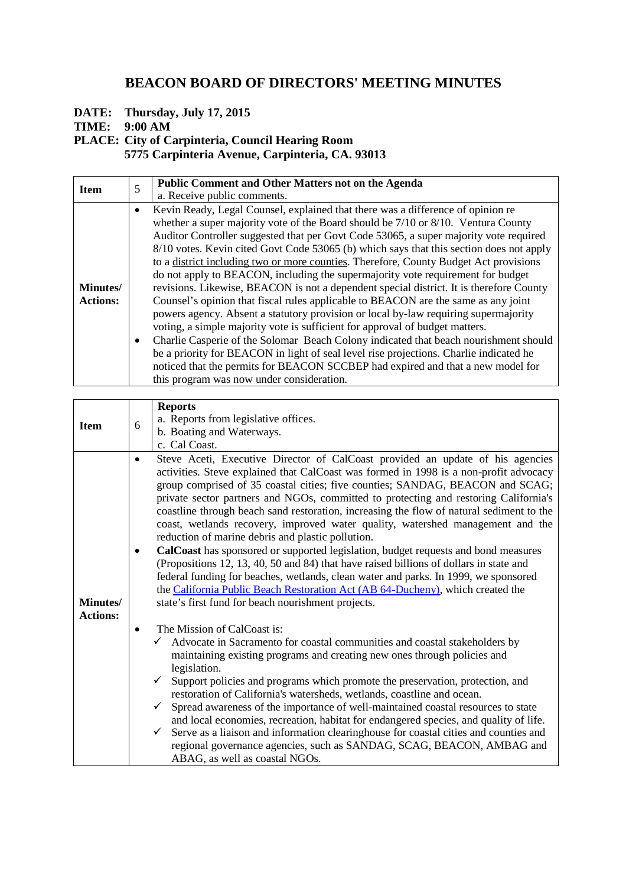**DATE: Thursday, July 17, 2015**

**TIME: 9:00 AM**

**PLACE: City of Carpinteria, Council Hearing Room**

| <b>Item</b>     | 5         | <b>Public Comment and Other Matters not on the Agenda</b>                               |
|-----------------|-----------|-----------------------------------------------------------------------------------------|
|                 |           | a. Receive public comments.                                                             |
|                 | $\bullet$ | Kevin Ready, Legal Counsel, explained that there was a difference of opinion re         |
|                 |           | whether a super majority vote of the Board should be $7/10$ or $8/10$ . Ventura County  |
|                 |           | Auditor Controller suggested that per Govt Code 53065, a super majority vote required   |
|                 |           | 8/10 votes. Kevin cited Govt Code 53065 (b) which says that this section does not apply |
|                 |           | to a district including two or more counties. Therefore, County Budget Act provisions   |
|                 |           | do not apply to BEACON, including the supermajority vote requirement for budget         |
| <b>Minutes/</b> |           | revisions. Likewise, BEACON is not a dependent special district. It is therefore County |
| <b>Actions:</b> |           | Counsel's opinion that fiscal rules applicable to BEACON are the same as any joint      |
|                 |           | powers agency. Absent a statutory provision or local by-law requiring supermajority     |
|                 |           | voting, a simple majority vote is sufficient for approval of budget matters.            |
|                 | $\bullet$ | Charlie Casperie of the Solomar Beach Colony indicated that beach nourishment should    |
|                 |           | be a priority for BEACON in light of seal level rise projections. Charlie indicated he  |
|                 |           | noticed that the permits for BEACON SCCBEP had expired and that a new model for         |
|                 |           | this program was now under consideration.                                               |

| <b>Item</b>                        | <b>Reports</b><br>a. Reports from legislative offices.<br>6<br>b. Boating and Waterways.<br>c. Cal Coast.                                                                                                                                                                                                                                                                                                                                                                                                                                                                                                                                                                                                                                                                                                                                                                                                                                                                                                                                                                                                                                                                                                                                                                                                                                                                                                                                                                                                                                                                                                                                                                                                                                                                                                                  |
|------------------------------------|----------------------------------------------------------------------------------------------------------------------------------------------------------------------------------------------------------------------------------------------------------------------------------------------------------------------------------------------------------------------------------------------------------------------------------------------------------------------------------------------------------------------------------------------------------------------------------------------------------------------------------------------------------------------------------------------------------------------------------------------------------------------------------------------------------------------------------------------------------------------------------------------------------------------------------------------------------------------------------------------------------------------------------------------------------------------------------------------------------------------------------------------------------------------------------------------------------------------------------------------------------------------------------------------------------------------------------------------------------------------------------------------------------------------------------------------------------------------------------------------------------------------------------------------------------------------------------------------------------------------------------------------------------------------------------------------------------------------------------------------------------------------------------------------------------------------------|
| <b>Minutes/</b><br><b>Actions:</b> | Steve Aceti, Executive Director of CalCoast provided an update of his agencies<br>$\bullet$<br>activities. Steve explained that CalCoast was formed in 1998 is a non-profit advocacy<br>group comprised of 35 coastal cities; five counties; SANDAG, BEACON and SCAG;<br>private sector partners and NGOs, committed to protecting and restoring California's<br>coastline through beach sand restoration, increasing the flow of natural sediment to the<br>coast, wetlands recovery, improved water quality, watershed management and the<br>reduction of marine debris and plastic pollution.<br>CalCoast has sponsored or supported legislation, budget requests and bond measures<br>$\bullet$<br>(Propositions 12, 13, 40, 50 and 84) that have raised billions of dollars in state and<br>federal funding for beaches, wetlands, clean water and parks. In 1999, we sponsored<br>the California Public Beach Restoration Act (AB 64-Ducheny), which created the<br>state's first fund for beach nourishment projects.<br>The Mission of CalCoast is:<br>$\bullet$<br>$\checkmark$ Advocate in Sacramento for coastal communities and coastal stakeholders by<br>maintaining existing programs and creating new ones through policies and<br>legislation.<br>Support policies and programs which promote the preservation, protection, and<br>restoration of California's watersheds, wetlands, coastline and ocean.<br>Spread awareness of the importance of well-maintained coastal resources to state<br>and local economies, recreation, habitat for endangered species, and quality of life.<br>Serve as a liaison and information clearinghouse for coastal cities and counties and<br>$\checkmark$<br>regional governance agencies, such as SANDAG, SCAG, BEACON, AMBAG and<br>ABAG, as well as coastal NGOs. |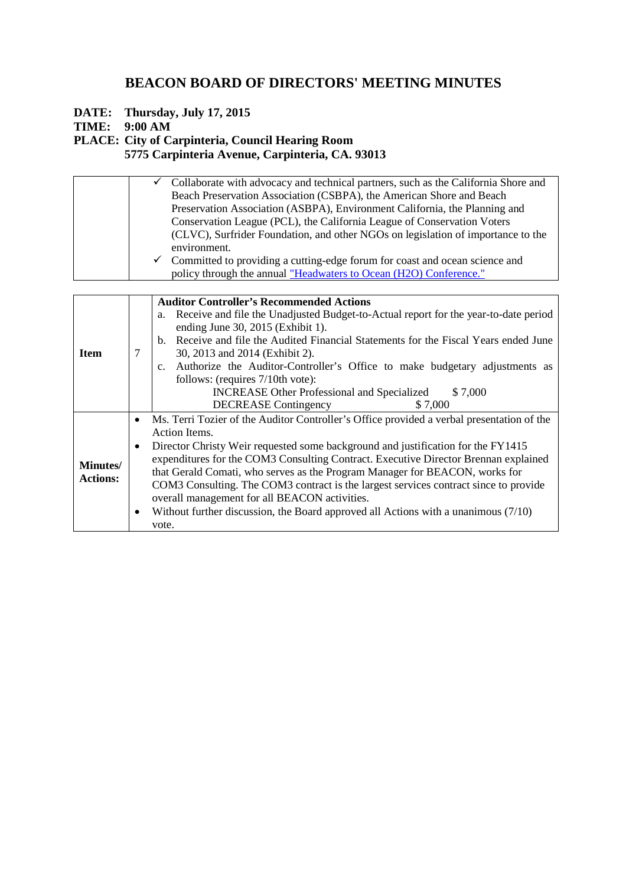**DATE: Thursday, July 17, 2015**

**TIME: 9:00 AM**

**PLACE: City of Carpinteria, Council Hearing Room**

| $\checkmark$ | Collaborate with advocacy and technical partners, such as the California Shore and |
|--------------|------------------------------------------------------------------------------------|
|              | Beach Preservation Association (CSBPA), the American Shore and Beach               |
|              | Preservation Association (ASBPA), Environment California, the Planning and         |
|              | Conservation League (PCL), the California League of Conservation Voters            |
|              | (CLVC), Surfrider Foundation, and other NGOs on legislation of importance to the   |
|              | environment.                                                                       |
| $\checkmark$ | Committed to providing a cutting-edge forum for coast and ocean science and        |
|              | policy through the annual "Headwaters to Ocean (H2O) Conference."                  |

|                  |           | <b>Auditor Controller's Recommended Actions</b>                                           |
|------------------|-----------|-------------------------------------------------------------------------------------------|
|                  |           | a. Receive and file the Unadjusted Budget-to-Actual report for the year-to-date period    |
|                  |           | ending June 30, 2015 (Exhibit 1).                                                         |
|                  |           | b. Receive and file the Audited Financial Statements for the Fiscal Years ended June      |
| <b>Item</b>      |           | 30, 2013 and 2014 (Exhibit 2).                                                            |
|                  |           | c. Authorize the Auditor-Controller's Office to make budgetary adjustments as             |
|                  |           | follows: (requires 7/10th vote):                                                          |
|                  |           | <b>INCREASE Other Professional and Specialized</b><br>\$7,000                             |
|                  |           | <b>DECREASE</b> Contingency<br>\$7,000                                                    |
|                  | $\bullet$ | Ms. Terri Tozier of the Auditor Controller's Office provided a verbal presentation of the |
|                  |           | Action Items.                                                                             |
|                  | $\bullet$ | Director Christy Weir requested some background and justification for the FY1415          |
|                  |           | expenditures for the COM3 Consulting Contract. Executive Director Brennan explained       |
| <b>Minutes</b> / |           | that Gerald Comati, who serves as the Program Manager for BEACON, works for               |
| <b>Actions:</b>  |           | COM3 Consulting. The COM3 contract is the largest services contract since to provide      |
|                  |           | overall management for all BEACON activities.                                             |
|                  | ٠         | Without further discussion, the Board approved all Actions with a unanimous (7/10)        |
|                  |           | vote.                                                                                     |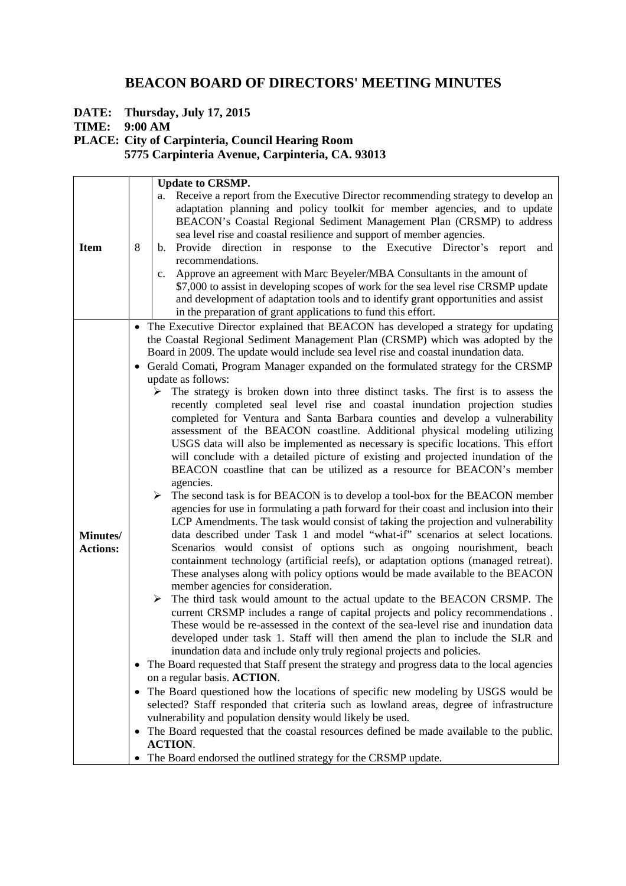**DATE: Thursday, July 17, 2015**

**TIME: 9:00 AM**

**PLACE: City of Carpinteria, Council Hearing Room**

|                 | <b>Update to CRSMP.</b>                                                                       |
|-----------------|-----------------------------------------------------------------------------------------------|
|                 | a. Receive a report from the Executive Director recommending strategy to develop an           |
|                 | adaptation planning and policy toolkit for member agencies, and to update                     |
|                 | BEACON's Coastal Regional Sediment Management Plan (CRSMP) to address                         |
|                 | sea level rise and coastal resilience and support of member agencies.                         |
| <b>Item</b>     | b. Provide direction in response to the Executive Director's report<br>8<br>and               |
|                 | recommendations.                                                                              |
|                 | c. Approve an agreement with Marc Beyeler/MBA Consultants in the amount of                    |
|                 | \$7,000 to assist in developing scopes of work for the sea level rise CRSMP update            |
|                 | and development of adaptation tools and to identify grant opportunities and assist            |
|                 | in the preparation of grant applications to fund this effort.                                 |
|                 | • The Executive Director explained that BEACON has developed a strategy for updating          |
|                 | the Coastal Regional Sediment Management Plan (CRSMP) which was adopted by the                |
|                 | Board in 2009. The update would include sea level rise and coastal inundation data.           |
|                 | • Gerald Comati, Program Manager expanded on the formulated strategy for the CRSMP            |
|                 | update as follows:                                                                            |
|                 | The strategy is broken down into three distinct tasks. The first is to assess the<br>➤        |
|                 | recently completed seal level rise and coastal inundation projection studies                  |
|                 | completed for Ventura and Santa Barbara counties and develop a vulnerability                  |
|                 | assessment of the BEACON coastline. Additional physical modeling utilizing                    |
|                 | USGS data will also be implemented as necessary is specific locations. This effort            |
|                 | will conclude with a detailed picture of existing and projected inundation of the             |
|                 | BEACON coastline that can be utilized as a resource for BEACON's member                       |
|                 | agencies.                                                                                     |
|                 | The second task is for BEACON is to develop a tool-box for the BEACON member<br>➤             |
|                 | agencies for use in formulating a path forward for their coast and inclusion into their       |
|                 | LCP Amendments. The task would consist of taking the projection and vulnerability             |
| Minutes/        | data described under Task 1 and model "what-if" scenarios at select locations.                |
| <b>Actions:</b> | Scenarios would consist of options such as ongoing nourishment, beach                         |
|                 | containment technology (artificial reefs), or adaptation options (managed retreat).           |
|                 | These analyses along with policy options would be made available to the BEACON                |
|                 | member agencies for consideration.                                                            |
|                 | The third task would amount to the actual update to the BEACON CRSMP. The<br>➤                |
|                 | current CRSMP includes a range of capital projects and policy recommendations.                |
|                 | These would be re-assessed in the context of the sea-level rise and inundation data           |
|                 | developed under task 1. Staff will then amend the plan to include the SLR and                 |
|                 | inundation data and include only truly regional projects and policies.                        |
|                 | • The Board requested that Staff present the strategy and progress data to the local agencies |
|                 | on a regular basis. ACTION.                                                                   |
|                 | • The Board questioned how the locations of specific new modeling by USGS would be            |
|                 | selected? Staff responded that criteria such as lowland areas, degree of infrastructure       |
|                 | vulnerability and population density would likely be used.                                    |
|                 | • The Board requested that the coastal resources defined be made available to the public.     |
|                 | <b>ACTION.</b>                                                                                |
|                 | The Board endorsed the outlined strategy for the CRSMP update.                                |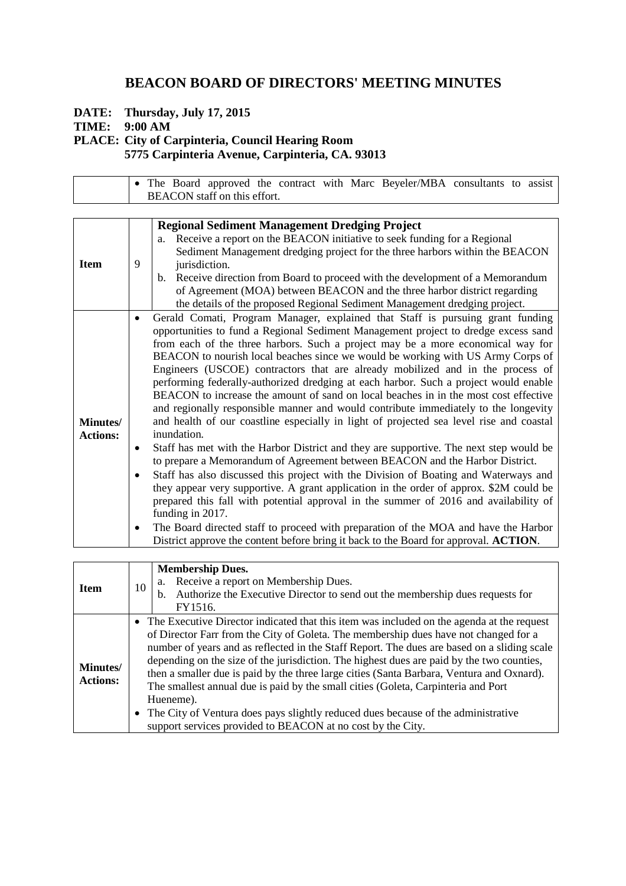**DATE: Thursday, July 17, 2015**

**TIME: 9:00 AM**

**PLACE: City of Carpinteria, Council Hearing Room**

|                                    | The Board approved the contract with Marc Beyeler/MBA consultants to assist<br>BEACON staff on this effort.                                                                                                                                                                                                                                                                                                                                                                                                                                                                                                                                                                                                                                                                                                                                                                                                                                                                                                                                                                                                                                                                                                                                                                                                                                                                                                                                                                                              |  |  |
|------------------------------------|----------------------------------------------------------------------------------------------------------------------------------------------------------------------------------------------------------------------------------------------------------------------------------------------------------------------------------------------------------------------------------------------------------------------------------------------------------------------------------------------------------------------------------------------------------------------------------------------------------------------------------------------------------------------------------------------------------------------------------------------------------------------------------------------------------------------------------------------------------------------------------------------------------------------------------------------------------------------------------------------------------------------------------------------------------------------------------------------------------------------------------------------------------------------------------------------------------------------------------------------------------------------------------------------------------------------------------------------------------------------------------------------------------------------------------------------------------------------------------------------------------|--|--|
| <b>Item</b>                        | <b>Regional Sediment Management Dredging Project</b><br>Receive a report on the BEACON initiative to seek funding for a Regional<br>Sediment Management dredging project for the three harbors within the BEACON<br>9<br>jurisdiction.<br>b. Receive direction from Board to proceed with the development of a Memorandum<br>of Agreement (MOA) between BEACON and the three harbor district regarding<br>the details of the proposed Regional Sediment Management dredging project.                                                                                                                                                                                                                                                                                                                                                                                                                                                                                                                                                                                                                                                                                                                                                                                                                                                                                                                                                                                                                     |  |  |
| <b>Minutes/</b><br><b>Actions:</b> | Gerald Comati, Program Manager, explained that Staff is pursuing grant funding<br>$\bullet$<br>opportunities to fund a Regional Sediment Management project to dredge excess sand<br>from each of the three harbors. Such a project may be a more economical way for<br>BEACON to nourish local beaches since we would be working with US Army Corps of<br>Engineers (USCOE) contractors that are already mobilized and in the process of<br>performing federally-authorized dredging at each harbor. Such a project would enable<br>BEACON to increase the amount of sand on local beaches in in the most cost effective<br>and regionally responsible manner and would contribute immediately to the longevity<br>and health of our coastline especially in light of projected sea level rise and coastal<br>inundation.<br>Staff has met with the Harbor District and they are supportive. The next step would be<br>٠<br>to prepare a Memorandum of Agreement between BEACON and the Harbor District.<br>Staff has also discussed this project with the Division of Boating and Waterways and<br>٠<br>they appear very supportive. A grant application in the order of approx. \$2M could be<br>prepared this fall with potential approval in the summer of 2016 and availability of<br>funding in 2017.<br>The Board directed staff to proceed with preparation of the MOA and have the Harbor<br>$\bullet$<br>District approve the content before bring it back to the Board for approval. ACTION. |  |  |

| <b>Item</b>                        | 10                     | <b>Membership Dues.</b><br>a. Receive a report on Membership Dues.<br>b. Authorize the Executive Director to send out the membership dues requests for<br>FY1516.                                                                                                                                                                                                                                                                                                                                                                                                                                                                                                                                                                |
|------------------------------------|------------------------|----------------------------------------------------------------------------------------------------------------------------------------------------------------------------------------------------------------------------------------------------------------------------------------------------------------------------------------------------------------------------------------------------------------------------------------------------------------------------------------------------------------------------------------------------------------------------------------------------------------------------------------------------------------------------------------------------------------------------------|
| <b>Minutes/</b><br><b>Actions:</b> | $\bullet$<br>$\bullet$ | The Executive Director indicated that this item was included on the agenda at the request<br>of Director Farr from the City of Goleta. The membership dues have not changed for a<br>number of years and as reflected in the Staff Report. The dues are based on a sliding scale<br>depending on the size of the jurisdiction. The highest dues are paid by the two counties,<br>then a smaller due is paid by the three large cities (Santa Barbara, Ventura and Oxnard).<br>The smallest annual due is paid by the small cities (Goleta, Carpinteria and Port<br>Hueneme).<br>The City of Ventura does pays slightly reduced dues because of the administrative<br>support services provided to BEACON at no cost by the City. |